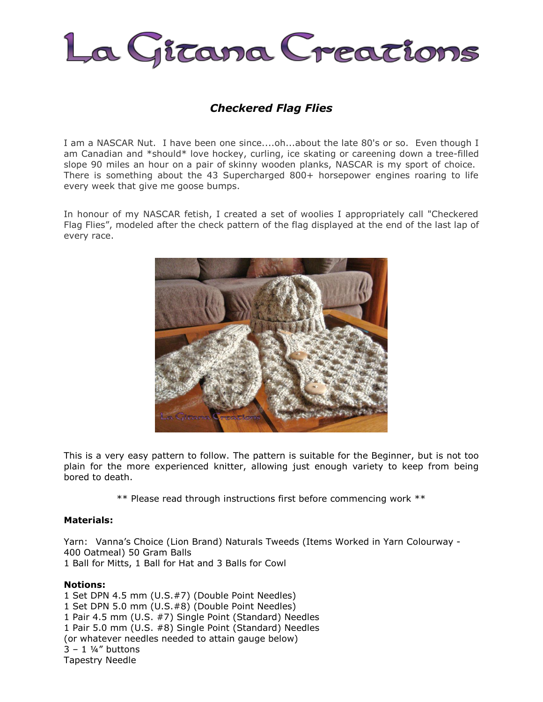

# *Checkered Flag Flies*

I am a NASCAR Nut. I have been one since....oh...about the late 80's or so. Even though I am Canadian and \*should\* love hockey, curling, ice skating or careening down a tree-filled slope 90 miles an hour on a pair of skinny wooden planks, NASCAR is my sport of choice. There is something about the 43 Supercharged 800+ horsepower engines roaring to life every week that give me goose bumps.

In honour of my NASCAR fetish, I created a set of woolies I appropriately call "Checkered Flag Flies", modeled after the check pattern of the flag displayed at the end of the last lap of every race.



This is a very easy pattern to follow. The pattern is suitable for the Beginner, but is not too plain for the more experienced knitter, allowing just enough variety to keep from being bored to death.

\*\* Please read through instructions first before commencing work \*\*

#### **Materials:**

Yarn: Vanna's Choice (Lion Brand) Naturals Tweeds (Items Worked in Yarn Colourway - 400 Oatmeal) 50 Gram Balls 1 Ball for Mitts, 1 Ball for Hat and 3 Balls for Cowl

## **Notions:**

1 Set DPN 4.5 mm (U.S.#7) (Double Point Needles) 1 Set DPN 5.0 mm (U.S.#8) (Double Point Needles) 1 Pair 4.5 mm (U.S. #7) Single Point (Standard) Needles 1 Pair 5.0 mm (U.S. #8) Single Point (Standard) Needles (or whatever needles needed to attain gauge below)  $3 - 1$  ¼" buttons Tapestry Needle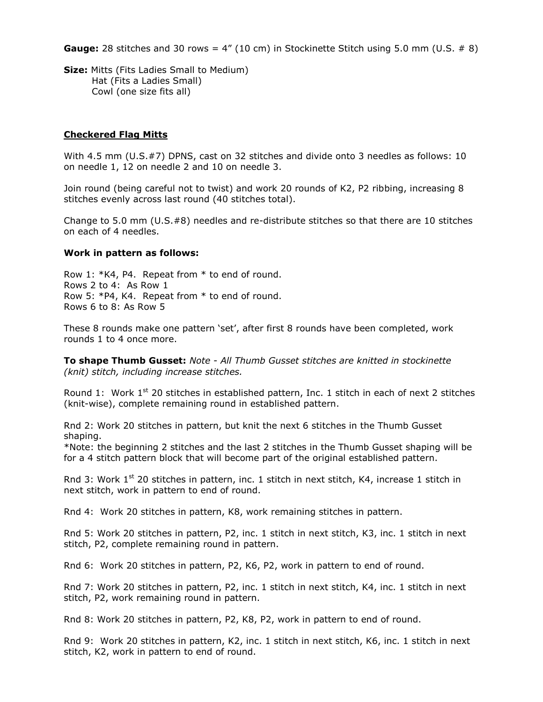**Gauge:** 28 stitches and 30 rows =  $4''$  (10 cm) in Stockinette Stitch using 5.0 mm (U.S.  $\#$  8)

**Size:** Mitts (Fits Ladies Small to Medium) Hat (Fits a Ladies Small) Cowl (one size fits all)

## **Checkered Flag Mitts**

With 4.5 mm (U.S.#7) DPNS, cast on 32 stitches and divide onto 3 needles as follows: 10 on needle 1, 12 on needle 2 and 10 on needle 3.

Join round (being careful not to twist) and work 20 rounds of K2, P2 ribbing, increasing 8 stitches evenly across last round (40 stitches total).

Change to 5.0 mm (U.S.#8) needles and re-distribute stitches so that there are 10 stitches on each of 4 needles.

## **Work in pattern as follows:**

Row 1: \*K4, P4. Repeat from \* to end of round. Rows 2 to 4: As Row 1 Row 5: \*P4, K4. Repeat from \* to end of round. Rows 6 to 8: As Row 5

These 8 rounds make one pattern 'set', after first 8 rounds have been completed, work rounds 1 to 4 once more.

**To shape Thumb Gusset:** *Note - All Thumb Gusset stitches are knitted in stockinette (knit) stitch, including increase stitches.*

Round 1: Work  $1^{st}$  20 stitches in established pattern, Inc. 1 stitch in each of next 2 stitches (knit-wise), complete remaining round in established pattern.

Rnd 2: Work 20 stitches in pattern, but knit the next 6 stitches in the Thumb Gusset shaping.

\*Note: the beginning 2 stitches and the last 2 stitches in the Thumb Gusset shaping will be for a 4 stitch pattern block that will become part of the original established pattern.

Rnd 3: Work  $1^{st}$  20 stitches in pattern, inc. 1 stitch in next stitch, K4, increase 1 stitch in next stitch, work in pattern to end of round.

Rnd 4: Work 20 stitches in pattern, K8, work remaining stitches in pattern.

Rnd 5: Work 20 stitches in pattern, P2, inc. 1 stitch in next stitch, K3, inc. 1 stitch in next stitch, P2, complete remaining round in pattern.

Rnd 6: Work 20 stitches in pattern, P2, K6, P2, work in pattern to end of round.

Rnd 7: Work 20 stitches in pattern, P2, inc. 1 stitch in next stitch, K4, inc. 1 stitch in next stitch, P2, work remaining round in pattern.

Rnd 8: Work 20 stitches in pattern, P2, K8, P2, work in pattern to end of round.

Rnd 9: Work 20 stitches in pattern, K2, inc. 1 stitch in next stitch, K6, inc. 1 stitch in next stitch, K2, work in pattern to end of round.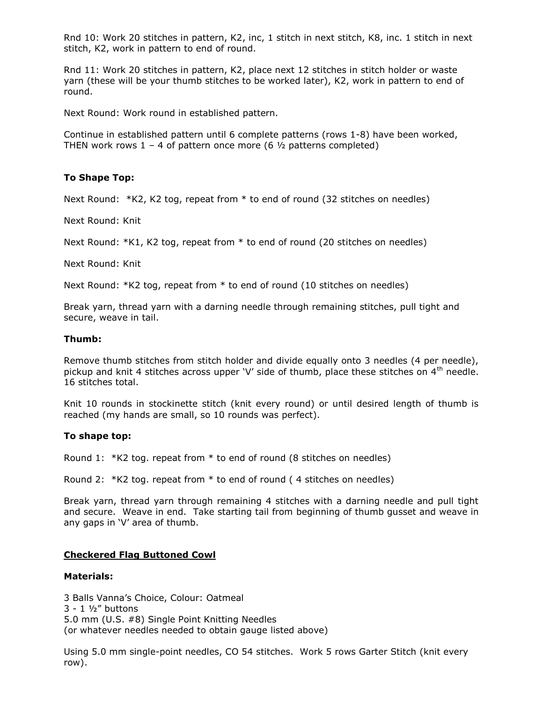Rnd 10: Work 20 stitches in pattern, K2, inc, 1 stitch in next stitch, K8, inc. 1 stitch in next stitch, K2, work in pattern to end of round.

Rnd 11: Work 20 stitches in pattern, K2, place next 12 stitches in stitch holder or waste yarn (these will be your thumb stitches to be worked later), K2, work in pattern to end of round.

Next Round: Work round in established pattern.

Continue in established pattern until 6 complete patterns (rows 1-8) have been worked, THEN work rows  $1 - 4$  of pattern once more (6  $\frac{1}{2}$  patterns completed)

## **To Shape Top:**

Next Round: \*K2, K2 tog, repeat from \* to end of round (32 stitches on needles)

Next Round: Knit

Next Round: \*K1, K2 tog, repeat from \* to end of round (20 stitches on needles)

Next Round: Knit

Next Round: \*K2 tog, repeat from \* to end of round (10 stitches on needles)

Break yarn, thread yarn with a darning needle through remaining stitches, pull tight and secure, weave in tail.

## **Thumb:**

Remove thumb stitches from stitch holder and divide equally onto 3 needles (4 per needle), pickup and knit 4 stitches across upper 'V' side of thumb, place these stitches on  $4<sup>th</sup>$  needle. 16 stitches total.

Knit 10 rounds in stockinette stitch (knit every round) or until desired length of thumb is reached (my hands are small, so 10 rounds was perfect).

## **To shape top:**

Round 1: \*K2 tog. repeat from \* to end of round (8 stitches on needles)

Round 2: \*K2 tog. repeat from \* to end of round ( 4 stitches on needles)

Break yarn, thread yarn through remaining 4 stitches with a darning needle and pull tight and secure. Weave in end. Take starting tail from beginning of thumb gusset and weave in any gaps in 'V' area of thumb.

## **Checkered Flag Buttoned Cowl**

#### **Materials:**

3 Balls Vanna's Choice, Colour: Oatmeal 3 - 1 ½" buttons 5.0 mm (U.S. #8) Single Point Knitting Needles (or whatever needles needed to obtain gauge listed above)

Using 5.0 mm single-point needles, CO 54 stitches. Work 5 rows Garter Stitch (knit every row).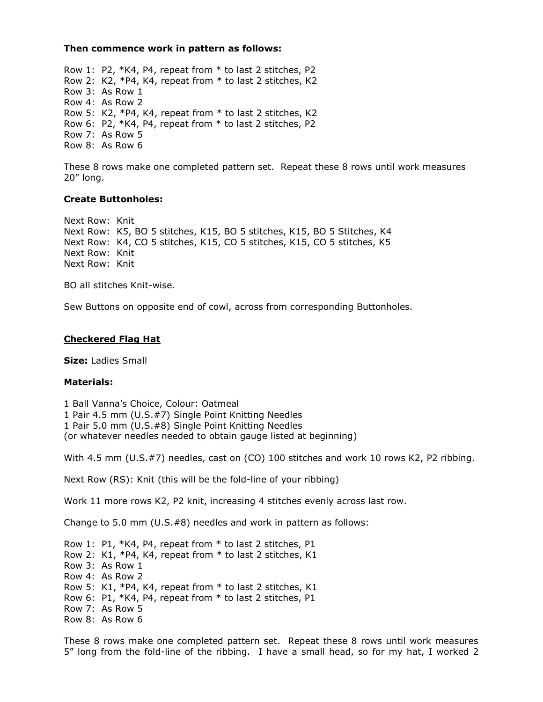#### **Then commence work in pattern as follows:**

Row 1: P2, \*K4, P4, repeat from \* to last 2 stitches, P2 Row 2: K2, \*P4, K4, repeat from \* to last 2 stitches, K2 Row 3: As Row 1 Row 4: As Row 2 Row 5: K2, \*P4, K4, repeat from \* to last 2 stitches, K2 Row 6: P2, \*K4, P4, repeat from \* to last 2 stitches, P2 Row 7: As Row 5 Row 8: As Row 6

These 8 rows make one completed pattern set. Repeat these 8 rows until work measures 20" long.

#### **Create Buttonholes:**

Next Row: Knit Next Row: K5, BO 5 stitches, K15, BO 5 stitches, K15, BO 5 Stitches, K4 Next Row: K4, CO 5 stitches, K15, CO 5 stitches, K15, CO 5 stitches, K5 Next Row: Knit Next Row: Knit

BO all stitches Knit-wise.

Sew Buttons on opposite end of cowl, across from corresponding Buttonholes.

#### **Checkered Flag Hat**

**Size:** Ladies Small

#### **Materials:**

1 Ball Vanna's Choice, Colour: Oatmeal 1 Pair 4.5 mm (U.S.#7) Single Point Knitting Needles 1 Pair 5.0 mm (U.S.#8) Single Point Knitting Needles (or whatever needles needed to obtain gauge listed at beginning)

With 4.5 mm (U.S.#7) needles, cast on (CO) 100 stitches and work 10 rows K2, P2 ribbing.

Next Row (RS): Knit (this will be the fold-line of your ribbing)

Work 11 more rows K2, P2 knit, increasing 4 stitches evenly across last row.

Change to 5.0 mm (U.S.#8) needles and work in pattern as follows:

Row 1: P1, \*K4, P4, repeat from \* to last 2 stitches, P1 Row 2: K1, \*P4, K4, repeat from \* to last 2 stitches, K1 Row 3: As Row 1 Row 4: As Row 2 Row 5: K1, \*P4, K4, repeat from \* to last 2 stitches, K1 Row 6: P1, \*K4, P4, repeat from \* to last 2 stitches, P1 Row 7: As Row 5 Row 8: As Row 6

These 8 rows make one completed pattern set. Repeat these 8 rows until work measures 5" long from the fold-line of the ribbing. I have a small head, so for my hat, I worked 2